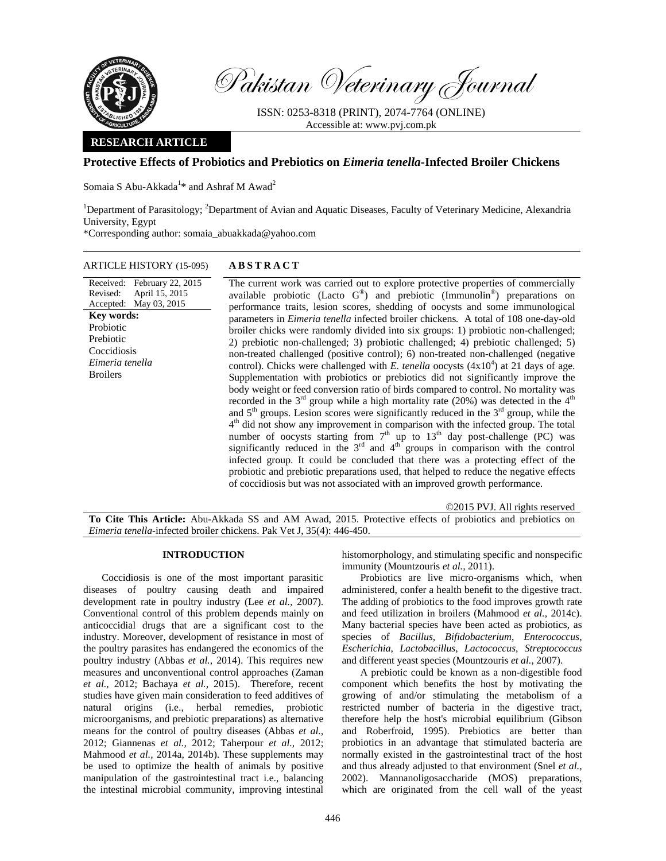

Pakistan Veterinary Journal

ISSN: 0253-8318 (PRINT), 2074-7764 (ONLINE) Accessible at: www.pvj.com.pk

## **RESEARCH ARTICLE**

# **Protective Effects of Probiotics and Prebiotics on** *Eimeria tenella***-Infected Broiler Chickens**

Somaia S Abu-Akkada<sup>1</sup>\* and Ashraf M Awad<sup>2</sup>

<sup>1</sup>Department of Parasitology; <sup>2</sup>Department of Avian and Aquatic Diseases, Faculty of Veterinary Medicine, Alexandria University, Egypt

\*Corresponding author: somaia\_abuakkada@yahoo.com

| ARTICLE HISTORY (15-095)                                                                                                                                                                | <b>ABSTRACT</b>                                                                                                                                                                                                                                                                                                                                                                                                                                                                                                                                                                                                                                                                                                                                                                                                                                                                                                                                                                                                                                                                                                                                                                                                                                                                                                                                                                                                                                                                                                                                                                                                                |
|-----------------------------------------------------------------------------------------------------------------------------------------------------------------------------------------|--------------------------------------------------------------------------------------------------------------------------------------------------------------------------------------------------------------------------------------------------------------------------------------------------------------------------------------------------------------------------------------------------------------------------------------------------------------------------------------------------------------------------------------------------------------------------------------------------------------------------------------------------------------------------------------------------------------------------------------------------------------------------------------------------------------------------------------------------------------------------------------------------------------------------------------------------------------------------------------------------------------------------------------------------------------------------------------------------------------------------------------------------------------------------------------------------------------------------------------------------------------------------------------------------------------------------------------------------------------------------------------------------------------------------------------------------------------------------------------------------------------------------------------------------------------------------------------------------------------------------------|
| Received: February 22, 2015<br>April 15, 2015<br>Revised:<br>Accepted: May 03, 2015<br><b>Key words:</b><br>Probiotic<br>Prebiotic<br>Coccidiosis<br>Eimeria tenella<br><b>Broilers</b> | The current work was carried out to explore protective properties of commercially<br>available probiotic (Lacto $G^{\circledast}$ ) and prebiotic (Immunolin <sup>®</sup> ) preparations on<br>performance traits, lesion scores, shedding of oocysts and some immunological<br>parameters in <i>Eimeria tenella</i> infected broiler chickens. A total of 108 one-day-old<br>broiler chicks were randomly divided into six groups: 1) probiotic non-challenged;<br>2) prebiotic non-challenged; 3) probiotic challenged; 4) prebiotic challenged; 5)<br>non-treated challenged (positive control); 6) non-treated non-challenged (negative<br>control). Chicks were challenged with E. tenella oocysts $(4x104)$ at 21 days of age.<br>Supplementation with probiotics or prebiotics did not significantly improve the<br>body weight or feed conversion ratio of birds compared to control. No mortality was<br>recorded in the $3rd$ group while a high mortality rate (20%) was detected in the $4th$<br>and $5th$ groups. Lesion scores were significantly reduced in the $3rd$ group, while the<br>$4th$ did not show any improvement in comparison with the infected group. The total<br>number of oocysts starting from $7th$ up to $13th$ day post-challenge (PC) was<br>significantly reduced in the $3rd$ and $4th$ groups in comparison with the control<br>infected group. It could be concluded that there was a protecting effect of the<br>probiotic and prebiotic preparations used, that helped to reduce the negative effects<br>of coccidiosis but was not associated with an improved growth performance. |

©2015 PVJ. All rights reserved **To Cite This Article:** Abu-Akkada SS and AM Awad, 2015. Protective effects of probiotics and prebiotics on *Eimeria tenella*-infected broiler chickens. Pak Vet J, 35(4): 446-450.

## **INTRODUCTION**

Coccidiosis is one of the most important parasitic diseases of poultry causing death and impaired development rate in poultry industry (Lee *et al.*, 2007). Conventional control of this problem depends mainly on anticoccidial drugs that are a significant cost to the industry. Moreover, development of resistance in most of the poultry parasites has endangered the economics of the poultry industry (Abbas *et al.,* 2014). This requires new measures and unconventional control approaches (Zaman *et al.,* 2012; Bachaya *et al.,* 2015). Therefore, recent studies have given main consideration to feed additives of natural origins (i.e., herbal remedies, probiotic microorganisms, and prebiotic preparations) as alternative means for the control of poultry diseases (Abbas *et al.,* 2012; Giannenas *et al.,* 2012; Taherpour *et al.,* 2012; Mahmood *et al.,* 2014a, 2014b). These supplements may be used to optimize the health of animals by positive manipulation of the gastrointestinal tract i.e., balancing the intestinal microbial community, improving intestinal

histomorphology, and stimulating specific and nonspecific immunity (Mountzouris *et al.,* 2011).

Probiotics are live micro-organisms which, when administered, confer a health benefit to the digestive tract. The adding of probiotics to the food improves growth rate and feed utilization in broilers (Mahmood *et al.,* 2014c). Many bacterial species have been acted as probiotics, as species of *Bacillus*, *Bifidobacterium*, *Enterococcus*, *Escherichia*, *Lactobacillus*, *Lactococcus*, *Streptococcus* and different yeast species (Mountzouris *et al.*, 2007).

A prebiotic could be known as a non-digestible food component which benefits the host by motivating the growing of and/or stimulating the metabolism of a restricted number of bacteria in the digestive tract, therefore help the host's microbial equilibrium (Gibson and Roberfroid, 1995). Prebiotics are better than probiotics in an advantage that stimulated bacteria are normally existed in the gastrointestinal tract of the host and thus already adjusted to that environment (Snel *et al.,* 2002). Mannanoligosaccharide (MOS) preparations, which are originated from the cell wall of the yeast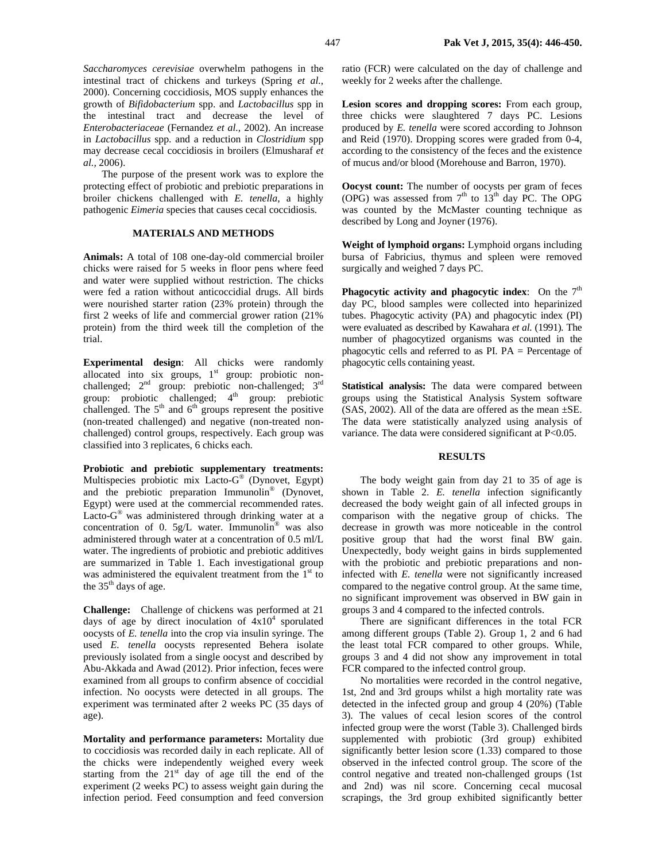*Saccharomyces cerevisiae* overwhelm pathogens in the intestinal tract of chickens and turkeys (Spring *et al.,* 2000). Concerning coccidiosis, MOS supply enhances the growth of *Bifidobacterium* spp. and *Lactobacillus* spp in the intestinal tract and decrease the level of *Enterobacteriaceae* (Fernandez *et al.,* 2002). An increase in *Lactobacillus* spp. and a reduction in *Clostridium* spp may decrease cecal coccidiosis in broilers (Elmusharaf *et al.,* 2006).

The purpose of the present work was to explore the protecting effect of probiotic and prebiotic preparations in broiler chickens challenged with *E. tenella*, a highly pathogenic *Eimeria* species that causes cecal coccidiosis.

## **MATERIALS AND METHODS**

**Animals:** A total of 108 one-day-old commercial broiler chicks were raised for 5 weeks in floor pens where feed and water were supplied without restriction. The chicks were fed a ration without anticoccidial drugs. All birds were nourished starter ration (23% protein) through the first 2 weeks of life and commercial grower ration (21% protein) from the third week till the completion of the trial.

**Experimental design**: All chicks were randomly allocated into six groups,  $1<sup>st</sup>$  group: probiotic nonchallenged;  $2<sup>nd</sup>$  group: prebiotic non-challenged;  $3<sup>rd</sup>$ group: probiotic challenged;  $4<sup>th</sup>$  group: prebiotic challenged. The  $5<sup>th</sup>$  and  $6<sup>th</sup>$  groups represent the positive (non-treated challenged) and negative (non-treated nonchallenged) control groups, respectively. Each group was classified into 3 replicates, 6 chicks each.

**Probiotic and prebiotic supplementary treatments:**  Multispecies probiotic mix Lacto-G® (Dynovet, Egypt) and the prebiotic preparation Immunolin® (Dynovet, Egypt) were used at the commercial recommended rates. Lacto-G® was administered through drinking water at a concentration of 0.  $5g/L$  water. Immunolin<sup>®</sup> was also administered through water at a concentration of 0.5 ml/L water. The ingredients of probiotic and prebiotic additives are summarized in Table 1. Each investigational group was administered the equivalent treatment from the  $1<sup>st</sup>$  to the 35<sup>th</sup> days of age.

**Challenge:** Challenge of chickens was performed at 21 days of age by direct inoculation of  $4x10^4$  sporulated oocysts of *E. tenella* into the crop via insulin syringe. The used *E. tenella* oocysts represented Behera isolate previously isolated from a single oocyst and described by Abu-Akkada and Awad (2012). Prior infection, feces were examined from all groups to confirm absence of coccidial infection. No oocysts were detected in all groups. The experiment was terminated after 2 weeks PC (35 days of age).

**Mortality and performance parameters:** Mortality due to coccidiosis was recorded daily in each replicate. All of the chicks were independently weighed every week starting from the  $21<sup>st</sup>$  day of age till the end of the experiment (2 weeks PC) to assess weight gain during the infection period. Feed consumption and feed conversion

ratio (FCR) were calculated on the day of challenge and weekly for 2 weeks after the challenge.

Lesion scores and dropping scores: From each group, three chicks were slaughtered 7 days PC. Lesions produced by *E. tenella* were scored according to Johnson and Reid (1970). Dropping scores were graded from 0-4, according to the consistency of the feces and the existence of mucus and/or blood (Morehouse and Barron, 1970).

**Oocyst count:** The number of oocysts per gram of feces (OPG) was assessed from  $7<sup>th</sup>$  to  $13<sup>th</sup>$  day PC. The OPG was counted by the McMaster counting technique as described by Long and Joyner (1976).

**Weight of lymphoid organs:** Lymphoid organs including bursa of Fabricius, thymus and spleen were removed surgically and weighed 7 days PC.

**Phagocytic activity and phagocytic index:** On the  $7<sup>th</sup>$ day PC, blood samples were collected into heparinized tubes. Phagocytic activity (PA) and phagocytic index (PI) were evaluated as described by Kawahara *et al.* (1991)*.* The number of phagocytized organisms was counted in the phagocytic cells and referred to as PI. PA = Percentage of phagocytic cells containing yeast.

**Statistical analysis:** The data were compared between groups using the Statistical Analysis System software  $(SAS, 2002)$ . All of the data are offered as the mean  $\pm SE$ . The data were statistically analyzed using analysis of variance. The data were considered significant at P<0.05.

#### **RESULTS**

The body weight gain from day 21 to 35 of age is shown in Table 2. *E. tenella* infection significantly decreased the body weight gain of all infected groups in comparison with the negative group of chicks. The decrease in growth was more noticeable in the control positive group that had the worst final BW gain. Unexpectedly, body weight gains in birds supplemented with the probiotic and prebiotic preparations and noninfected with *E. tenella* were not significantly increased compared to the negative control group. At the same time, no significant improvement was observed in BW gain in groups 3 and 4 compared to the infected controls.

There are significant differences in the total FCR among different groups (Table 2). Group 1, 2 and 6 had the least total FCR compared to other groups. While, groups 3 and 4 did not show any improvement in total FCR compared to the infected control group.

No mortalities were recorded in the control negative, 1st, 2nd and 3rd groups whilst a high mortality rate was detected in the infected group and group 4 (20%) (Table 3). The values of cecal lesion scores of the control infected group were the worst (Table 3). Challenged birds supplemented with probiotic (3rd group) exhibited significantly better lesion score (1.33) compared to those observed in the infected control group. The score of the control negative and treated non-challenged groups (1st and 2nd) was nil score. Concerning cecal mucosal scrapings, the 3rd group exhibited significantly better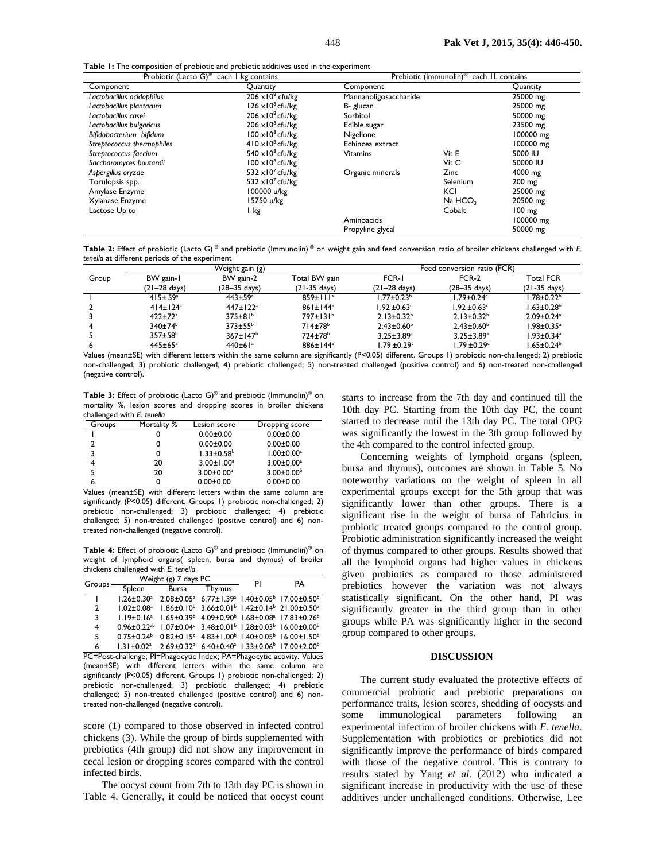**Table 1:** The composition of probiotic and prebiotic additives used in the experiment

| Probiotic (Lacto G) <sup>®</sup><br>each I kg contains |                                     | Prebiotic (Immunolin) <sup>®</sup><br>each IL contains |                     |                       |  |
|--------------------------------------------------------|-------------------------------------|--------------------------------------------------------|---------------------|-----------------------|--|
| Component                                              | Quantity                            | Component                                              | Quantity            |                       |  |
| Lactobacillus acidophilus                              | $206 \times 10^8$ cfu/kg            | Mannanoligosaccharide                                  |                     | $\overline{25000}$ mg |  |
| Lactobacillus plantarum                                | $126 \times 10^8$ cfu/kg            | B- glucan                                              |                     | 25000 mg              |  |
| Lactobacillus casei                                    | $206 \times 10^8$ cfu/kg            | Sorbitol                                               |                     | 50000 mg              |  |
| Lactobacillus bulgaricus                               | $206 \times 10^8$ cfu/kg            | Edible sugar                                           |                     | 23500 mg              |  |
| Bifidobacterium bifidum                                | $100 \times 10^8$ cfu/kg            | Nigellone                                              |                     | 100000 mg             |  |
| Streptococcus thermophiles                             | $410 \times 10^8$ cfu/kg            | Echincea extract                                       |                     | 100000 mg             |  |
| Streptococcus faecium                                  | 540 $\times$ 10 <sup>8</sup> cfu/kg | <b>Vitamins</b>                                        | Vit E               | 5000 IU               |  |
| Saccharomyces boutardii                                | $100 \times 10^8$ cfu/kg            |                                                        | Vit C               | 50000 IU              |  |
| Aspergillus oryzae                                     | 532 $\times$ 10 <sup>7</sup> cfu/kg | Organic minerals                                       | Zinc                | 4000 mg               |  |
| Torulopsis spp.                                        | 532 $\times$ 10 <sup>7</sup> cfu/kg |                                                        | Selenium            | $200 \text{ mg}$      |  |
| Amylase Enzyme                                         | 100000 u/kg                         |                                                        | KCI                 | 25000 mg              |  |
| Xylanase Enzyme                                        | 15750 u/kg                          |                                                        | Na HCO <sub>3</sub> | 20500 mg              |  |
| Lactose Up to                                          | I kg                                |                                                        | Cobalt              | 100 mg                |  |
|                                                        |                                     | Aminoacids                                             |                     | 100000 mg             |  |
|                                                        |                                     | Propyline glycal                                       |                     | 50000 mg              |  |

**Table 2:** Effect of probiotic (Lacto G) ® and prebiotic (Immunolin) ® on weight gain and feed conversion ratio of broiler chickens challenged with *E. tenella* at different periods of the experiment

| Total FCR                    |
|------------------------------|
|                              |
| $(21-35$ days)               |
| $1.78 \pm 0.22$ <sup>b</sup> |
| $1.63 \pm 0.28^b$            |
| $2.09 \pm 0.24$ <sup>a</sup> |
| $1.98 \pm 0.35^a$            |
| $1.93 \pm 0.34$ <sup>a</sup> |
| $1.65 \pm 0.24^b$            |
|                              |

Values (mean±SE) with different letters within the same column are significantly (P<0.05) different. Groups 1) probiotic non-challenged; 2) prebiotic non-challenged; 3) probiotic challenged; 4) prebiotic challenged; 5) non-treated challenged (positive control) and 6) non-treated non-challenged (negative control).

**Table 3:** Effect of probiotic (Lacto G)® and prebiotic (Immunolin)® on mortality %, lesion scores and dropping scores in broiler chickens challenged with *E. tenella*

| Groups | Mortality % | Lesion score                 | Dropping score               |
|--------|-------------|------------------------------|------------------------------|
|        |             | $0.00 \pm 0.00$              | $0.00 \pm 0.00$              |
|        |             | $0.00 \pm 0.00$              | $0.00 \pm 0.00$              |
| 3      |             | $1.33 \pm 0.58$ <sup>b</sup> | $1.00 \pm 0.00$ <sup>c</sup> |
|        | 20          | $3.00 \pm 1.00^a$            | $3.00 \pm 0.00^a$            |
|        | 20          | $3.00 \pm 0.00^a$            | $3.00 \pm 0.00^{\circ}$      |
| 6      |             | $0.00 \pm 0.00$              | $0.00 \pm 0.00$              |

Values (mean±SE) with different letters within the same column are significantly (P<0.05) different. Groups 1) probiotic non-challenged; 2) prebiotic non-challenged; 3) probiotic challenged; 4) prebiotic challenged; 5) non-treated challenged (positive control) and 6) nontreated non-challenged (negative control).

**Table 4:** Effect of probiotic (Lacto G)® and prebiotic (Immunolin)® on weight of lymphoid organs( spleen, bursa and thymus) of broiler chickens challenged with *E. tenella*

| Groups. |                 | Weight (g) 7 days PC | PI            | PА |                                                                                                             |
|---------|-----------------|----------------------|---------------|----|-------------------------------------------------------------------------------------------------------------|
|         | Spleen          | Bursa                | <b>Thymus</b> |    |                                                                                                             |
|         |                 |                      |               |    | $1.26 \pm 0.30^a$ 2.08 $\pm 0.05^a$ 6.77 $\pm$ 1.39 $^a$ 1.40 $\pm 0.05^b$ 17.00 $\pm 0.50^b$               |
| 2       | $1.02 + 0.08a$  |                      |               |    | $1.86 \pm 0.10^{b}$ 3.66 $\pm$ 0.01 <sup>b</sup> 1.42 $\pm$ 0.14 <sup>b</sup> 21.00 $\pm$ 0.50 <sup>a</sup> |
| 3       | $1.19 + 0.16^a$ |                      |               |    | $1.65 \pm 0.39^{\circ}$ 4.09 $\pm 0.90^{\circ}$ 1.68 $\pm 0.08^{\circ}$ 17.83 $\pm 0.76^{\circ}$            |
| 4       |                 |                      |               |    | $0.96 \pm 0.22^{ab}$ 1.07 $\pm 0.04^{c}$ 3.48 $\pm 0.01^{b}$ 1.28 $\pm 0.03^{b}$ 16.00 $\pm 0.00^{b}$       |
| 5       | $0.75 + 0.24$   |                      |               |    | $0.82 \pm 0.15$ ° $4.83 \pm 1.00$ <sup>b</sup> $1.40 \pm 0.05$ <sup>b</sup> $16.00 \pm 1.50$ <sup>b</sup>   |
| 6       | $1.31 + 0.02a$  |                      |               |    | 2.69±0.32 <sup>a</sup> 6.40±0.40 <sup>a</sup> 1.33±0.06 <sup>b</sup> 17.00±2.00 <sup>b</sup>                |

PC=Post-challenge; PI=Phagocytic Index; PA=Phagocytic activity. Values (mean±SE) with different letters within the same column are significantly (P<0.05) different. Groups 1) probiotic non-challenged; 2) prebiotic non-challenged; 3) probiotic challenged; 4) prebiotic challenged; 5) non-treated challenged (positive control) and 6) nontreated non-challenged (negative control).

score (1) compared to those observed in infected control chickens (3). While the group of birds supplemented with prebiotics (4th group) did not show any improvement in cecal lesion or dropping scores compared with the control infected birds.

The oocyst count from 7th to 13th day PC is shown in Table 4. Generally, it could be noticed that oocyst count starts to increase from the 7th day and continued till the 10th day PC. Starting from the 10th day PC, the count started to decrease until the 13th day PC. The total OPG was significantly the lowest in the 3th group followed by the 4th compared to the control infected group.

Concerning weights of lymphoid organs (spleen, bursa and thymus), outcomes are shown in Table 5. No noteworthy variations on the weight of spleen in all experimental groups except for the 5th group that was significantly lower than other groups. There is a significant rise in the weight of bursa of Fabricius in probiotic treated groups compared to the control group. Probiotic administration significantly increased the weight of thymus compared to other groups. Results showed that all the lymphoid organs had higher values in chickens given probiotics as compared to those administered prebiotics however the variation was not always statistically significant. On the other hand, PI was significantly greater in the third group than in other groups while PA was significantly higher in the second group compared to other groups.

#### **DISCUSSION**

The current study evaluated the protective effects of commercial probiotic and prebiotic preparations on performance traits, lesion scores, shedding of oocysts and some immunological parameters following an experimental infection of broiler chickens with *E. tenella*. Supplementation with probiotics or prebiotics did not significantly improve the performance of birds compared with those of the negative control. This is contrary to results stated by Yang *et al.* (2012) who indicated a significant increase in productivity with the use of these additives under unchallenged conditions. Otherwise, Lee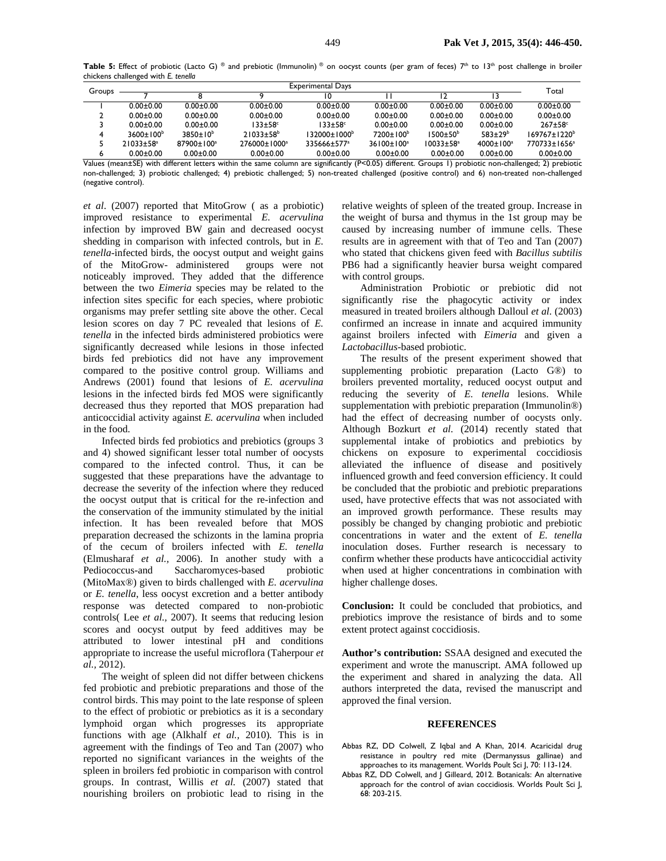Table 5: Effect of probiotic (Lacto G) ® and prebiotic (Immunolin) ® on oocyst counts (per gram of feces) 7<sup>th</sup> to 13<sup>th</sup> post challenge in broiler chickens challenged with *E. tenella* 

| Groups   |                                                                                                        | <b>Experimental Days</b> |                          |                           |                        |                             | Total            |                                     |
|----------|--------------------------------------------------------------------------------------------------------|--------------------------|--------------------------|---------------------------|------------------------|-----------------------------|------------------|-------------------------------------|
|          |                                                                                                        |                          |                          |                           |                        | 12                          |                  |                                     |
|          | $0.00 + 0.00$                                                                                          | $0.00 + 0.00$            | $0.00 + 0.00$            | $0.00 + 0.00$             | $0.00 + 0.00$          | $0.00 + 0.00$               | $0.00 + 0.00$    | $0.00 + 0.00$                       |
|          | $0.00 \pm 0.00$                                                                                        | $0.00 + 0.00$            | $0.00 + 0.00$            | $0.00 + 0.00$             | $0.00 + 0.00$          | $0.00 + 0.00$               | $0.00 + 0.00$    | $0.00 + 0.00$                       |
|          | $0.00 \pm 0.00$                                                                                        | $0.00 + 0.00$            | $133 \pm 58$ °           | $133 \pm 58$ °            | $0.00 + 0.00$          | $0.00 + 0.00$               | $0.00 + 0.00$    | $267 \pm 58$ <sup>c</sup>           |
|          | $3600+100b$                                                                                            | $3850+10^{6}$            | $21033 + 58^b$           | l 32000±1000 <sup>b</sup> | $7200 \pm 100^{\circ}$ | $1500 \pm 50^{\circ}$       | $583+29^{b}$     | $169767 \pm 1220^b$                 |
|          | $21033 \pm 58$ <sup>a</sup>                                                                            | 87900±100ª               | 276000±1000 <sup>a</sup> | 335666±577 <sup>a</sup>   | $36100 \pm 100^a$      | $10033 \pm 58$ <sup>a</sup> | $4000 \pm 100^a$ | 770733±1656 <sup>a</sup>            |
| $\cdots$ | $0.00 + 0.00$<br>$\mathcal{L}$ and $\mathcal{L}$ and $\mathcal{L}$ and $\mathcal{L}$ and $\mathcal{L}$ | $0.00 + 0.00$            | $0.00 + 0.00$            | $0.00 + 0.00$             | $0.00 + 0.00$          | $0.00 + 0.00$               | $0.00 + 0.00$    | $0.00 + 0.00$<br>$\sim$<br>$\cdots$ |

Values (mean±SE) with different letters within the same column are significantly (P<0.05) different. Groups 1) probiotic non-challenged; 2) prebiotic non-challenged; 3) probiotic challenged; 4) prebiotic challenged; 5) non-treated challenged (positive control) and 6) non-treated non-challenged (negative control).

*et al*. (2007) reported that MitoGrow ( as a probiotic) improved resistance to experimental *E. acervulina* infection by improved BW gain and decreased oocyst shedding in comparison with infected controls, but in *E. tenella*-infected birds, the oocyst output and weight gains of the MitoGrow- administered groups were not noticeably improved. They added that the difference between the two *Eimeria* species may be related to the infection sites specific for each species, where probiotic organisms may prefer settling site above the other. Cecal lesion scores on day 7 PC revealed that lesions of *E. tenella* in the infected birds administered probiotics were significantly decreased while lesions in those infected birds fed prebiotics did not have any improvement compared to the positive control group. Williams and Andrews (2001) found that lesions of *E. acervulina* lesions in the infected birds fed MOS were significantly decreased thus they reported that MOS preparation had anticoccidial activity against *E. acervulina* when included in the food.

Infected birds fed probiotics and prebiotics (groups 3 and 4) showed significant lesser total number of oocysts compared to the infected control. Thus, it can be suggested that these preparations have the advantage to decrease the severity of the infection where they reduced the oocyst output that is critical for the re-infection and the conservation of the immunity stimulated by the initial infection. It has been revealed before that MOS preparation decreased the schizonts in the lamina propria of the cecum of broilers infected with *E. tenella* (Elmusharaf *et al.,* 2006). In another study with a Pediococcus-and Saccharomyces-based probiotic (MitoMax®) given to birds challenged with *E. acervulina* or *E. tenella*, less oocyst excretion and a better antibody response was detected compared to non-probiotic controls( Lee *et al.,* 2007). It seems that reducing lesion scores and oocyst output by feed additives may be attributed to lower intestinal pH and conditions appropriate to increase the useful microflora (Taherpour *et al.,* 2012).

The weight of spleen did not differ between chickens fed probiotic and prebiotic preparations and those of the control birds. This may point to the late response of spleen to the effect of probiotic or prebiotics as it is a secondary lymphoid organ which progresses its appropriate functions with age (Alkhalf *et al.,* 2010). This is in agreement with the findings of Teo and Tan (2007) who reported no significant variances in the weights of the spleen in broilers fed probiotic in comparison with control groups. In contrast, Willis *et al.* (2007) stated that nourishing broilers on probiotic lead to rising in the

relative weights of spleen of the treated group. Increase in the weight of bursa and thymus in the 1st group may be caused by increasing number of immune cells. These results are in agreement with that of Teo and Tan (2007) who stated that chickens given feed with *Bacillus subtilis* PB6 had a significantly heavier bursa weight compared with control groups.

Administration Probiotic or prebiotic did not significantly rise the phagocytic activity or index measured in treated broilers although Dalloul *et al.* (2003) confirmed an increase in innate and acquired immunity against broilers infected with *Eimeria* and given a *Lactobacillus*-based probiotic.

The results of the present experiment showed that supplementing probiotic preparation (Lacto G®) to broilers prevented mortality, reduced oocyst output and reducing the severity of *E. tenella* lesions. While supplementation with prebiotic preparation (Immunolin®) had the effect of decreasing number of oocysts only. Although Bozkurt *et al.* (2014) recently stated that supplemental intake of probiotics and prebiotics by chickens on exposure to experimental coccidiosis alleviated the influence of disease and positively influenced growth and feed conversion efficiency. It could be concluded that the probiotic and prebiotic preparations used, have protective effects that was not associated with an improved growth performance. These results may possibly be changed by changing probiotic and prebiotic concentrations in water and the extent of *E. tenella* inoculation doses. Further research is necessary to confirm whether these products have anticoccidial activity when used at higher concentrations in combination with higher challenge doses.

**Conclusion:** It could be concluded that probiotics, and prebiotics improve the resistance of birds and to some extent protect against coccidiosis.

**Author's contribution:** SSAA designed and executed the experiment and wrote the manuscript. AMA followed up the experiment and shared in analyzing the data. All authors interpreted the data, revised the manuscript and approved the final version.

#### **REFERENCES**

- Abbas RZ, DD Colwell, Z Iqbal and A Khan, 2014. Acaricidal drug resistance in poultry red mite (Dermanyssus gallinae) and approaches to its management. Worlds Poult Sci J, 70: 113-124.
- Abbas RZ, DD Colwell, and J Gilleard, 2012. Botanicals: An alternative approach for the control of avian coccidiosis. Worlds Poult Sci J, 68: 203-215.